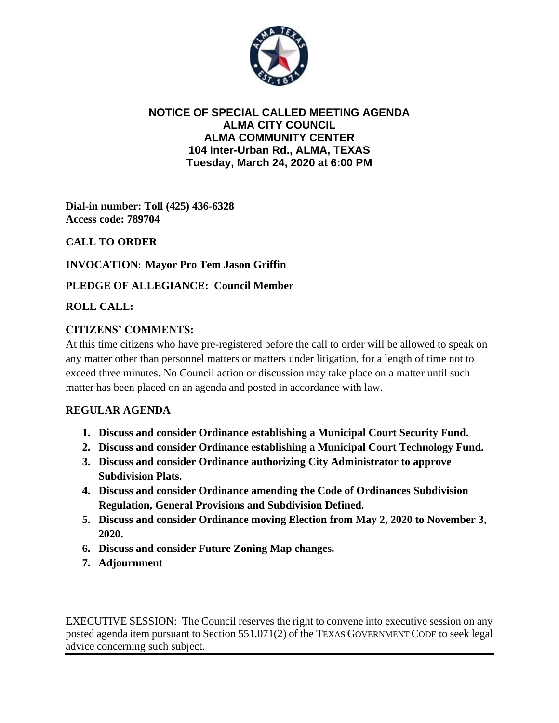

#### **NOTICE OF SPECIAL CALLED MEETING AGENDA ALMA CITY COUNCIL ALMA COMMUNITY CENTER 104 Inter-Urban Rd., ALMA, TEXAS Tuesday, March 24, 2020 at 6:00 PM**

**Dial-in number: Toll (425) 436-6328 Access code: 789704**

# **CALL TO ORDER**

**INVOCATION: Mayor Pro Tem Jason Griffin**

## **PLEDGE OF ALLEGIANCE: Council Member**

## **ROLL CALL:**

## **CITIZENS' COMMENTS:**

At this time citizens who have pre-registered before the call to order will be allowed to speak on any matter other than personnel matters or matters under litigation, for a length of time not to exceed three minutes. No Council action or discussion may take place on a matter until such matter has been placed on an agenda and posted in accordance with law.

## **REGULAR AGENDA**

- **1. Discuss and consider Ordinance establishing a Municipal Court Security Fund.**
- **2. Discuss and consider Ordinance establishing a Municipal Court Technology Fund.**
- **3. Discuss and consider Ordinance authorizing City Administrator to approve Subdivision Plats.**
- **4. Discuss and consider Ordinance amending the Code of Ordinances Subdivision Regulation, General Provisions and Subdivision Defined.**
- **5. Discuss and consider Ordinance moving Election from May 2, 2020 to November 3, 2020.**
- **6. Discuss and consider Future Zoning Map changes.**
- **7. Adjournment**

EXECUTIVE SESSION: The Council reserves the right to convene into executive session on any posted agenda item pursuant to Section 551.071(2) of the TEXAS GOVERNMENT CODE to seek legal advice concerning such subject.